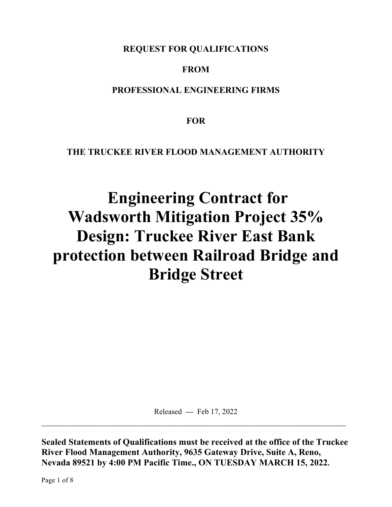**REQUEST FOR QUALIFICATIONS** 

# **FROM**

## **PROFESSIONAL ENGINEERING FIRMS**

**FOR** 

# **THE TRUCKEE RIVER FLOOD MANAGEMENT AUTHORITY**

# **Engineering Contract for Wadsworth Mitigation Project 35% Design: Truckee River East Bank protection between Railroad Bridge and Bridge Street**

Released --- Feb 17, 2022

**Sealed Statements of Qualifications must be received at the office of the Truckee River Flood Management Authority, 9635 Gateway Drive, Suite A, Reno, Nevada 89521 by 4:00 PM Pacific Time., ON TUESDAY MARCH 15, 2022.** 

Page 1 of 8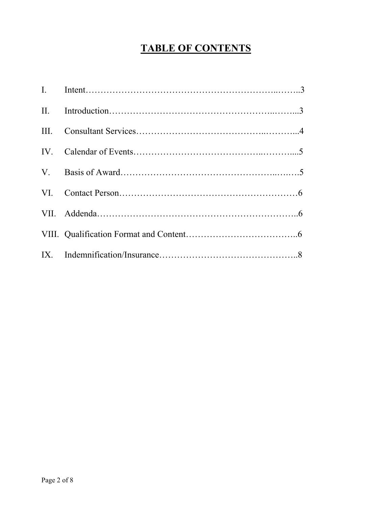# **TABLE OF CONTENTS**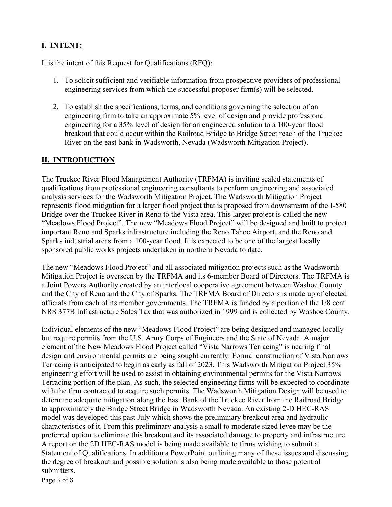#### **I. INTENT:**

It is the intent of this Request for Qualifications (RFQ):

- 1. To solicit sufficient and verifiable information from prospective providers of professional engineering services from which the successful proposer firm(s) will be selected.
- 2. To establish the specifications, terms, and conditions governing the selection of an engineering firm to take an approximate 5% level of design and provide professional engineering for a 35% level of design for an engineered solution to a 100-year flood breakout that could occur within the Railroad Bridge to Bridge Street reach of the Truckee River on the east bank in Wadsworth, Nevada (Wadsworth Mitigation Project).

#### **II. INTRODUCTION**

The Truckee River Flood Management Authority (TRFMA) is inviting sealed statements of qualifications from professional engineering consultants to perform engineering and associated analysis services for the Wadsworth Mitigation Project. The Wadsworth Mitigation Project represents flood mitigation for a larger flood project that is proposed from downstream of the I-580 Bridge over the Truckee River in Reno to the Vista area. This larger project is called the new "Meadows Flood Project". The new "Meadows Flood Project" will be designed and built to protect important Reno and Sparks infrastructure including the Reno Tahoe Airport, and the Reno and Sparks industrial areas from a 100-year flood. It is expected to be one of the largest locally sponsored public works projects undertaken in northern Nevada to date.

The new "Meadows Flood Project" and all associated mitigation projects such as the Wadsworth Mitigation Project is overseen by the TRFMA and its 6-member Board of Directors. The TRFMA is a Joint Powers Authority created by an interlocal cooperative agreement between Washoe County and the City of Reno and the City of Sparks. The TRFMA Board of Directors is made up of elected officials from each of its member governments. The TRFMA is funded by a portion of the 1/8 cent NRS 377B Infrastructure Sales Tax that was authorized in 1999 and is collected by Washoe County.

Individual elements of the new "Meadows Flood Project" are being designed and managed locally but require permits from the U.S. Army Corps of Engineers and the State of Nevada. A major element of the New Meadows Flood Project called "Vista Narrows Terracing" is nearing final design and environmental permits are being sought currently. Formal construction of Vista Narrows Terracing is anticipated to begin as early as fall of 2023. This Wadsworth Mitigation Project 35% engineering effort will be used to assist in obtaining environmental permits for the Vista Narrows Terracing portion of the plan. As such, the selected engineering firms will be expected to coordinate with the firm contracted to acquire such permits. The Wadsworth Mitigation Design will be used to determine adequate mitigation along the East Bank of the Truckee River from the Railroad Bridge to approximately the Bridge Street Bridge in Wadsworth Nevada. An existing 2-D HEC-RAS model was developed this past July which shows the preliminary breakout area and hydraulic characteristics of it. From this preliminary analysis a small to moderate sized levee may be the preferred option to eliminate this breakout and its associated damage to property and infrastructure. A report on the 2D HEC-RAS model is being made available to firms wishing to submit a Statement of Qualifications. In addition a PowerPoint outlining many of these issues and discussing the degree of breakout and possible solution is also being made available to those potential submitters.

Page 3 of 8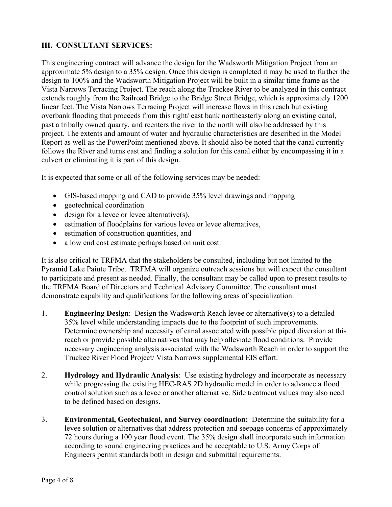#### **III. CONSULTANT SERVICES:**

This engineering contract will advance the design for the Wadsworth Mitigation Project from an approximate 5% design to a 35% design. Once this design is completed it may be used to further the design to 100% and the Wadsworth Mitigation Project will be built in a similar time frame as the Vista Narrows Terracing Project. The reach along the Truckee River to be analyzed in this contract extends roughly from the Railroad Bridge to the Bridge Street Bridge, which is approximately 1200 linear feet. The Vista Narrows Terracing Project will increase flows in this reach but existing overbank flooding that proceeds from this right/ east bank northeasterly along an existing canal, past a tribally owned quarry, and reenters the river to the north will also be addressed by this project. The extents and amount of water and hydraulic characteristics are described in the Model Report as well as the PowerPoint mentioned above. It should also be noted that the canal currently follows the River and turns east and finding a solution for this canal either by encompassing it in a culvert or eliminating it is part of this design.

It is expected that some or all of the following services may be needed:

- GIS-based mapping and CAD to provide 35% level drawings and mapping
- geotechnical coordination
- design for a levee or levee alternative(s),
- estimation of floodplains for various levee or levee alternatives,
- estimation of construction quantities, and
- a low end cost estimate perhaps based on unit cost.

It is also critical to TRFMA that the stakeholders be consulted, including but not limited to the Pyramid Lake Paiute Tribe. TRFMA will organize outreach sessions but will expect the consultant to participate and present as needed. Finally, the consultant may be called upon to present results to the TRFMA Board of Directors and Technical Advisory Committee. The consultant must demonstrate capability and qualifications for the following areas of specialization.

- 1. **Engineering Design**: Design the Wadsworth Reach levee or alternative(s) to a detailed 35% level while understanding impacts due to the footprint of such improvements. Determine ownership and necessity of canal associated with possible piped diversion at this reach or provide possible alternatives that may help alleviate flood conditions. Provide necessary engineering analysis associated with the Wadsworth Reach in order to support the Truckee River Flood Project/ Vista Narrows supplemental EIS effort.
- 2. **Hydrology and Hydraulic Analysis**: Use existing hydrology and incorporate as necessary while progressing the existing HEC-RAS 2D hydraulic model in order to advance a flood control solution such as a levee or another alternative. Side treatment values may also need to be defined based on designs.
- 3. **Environmental, Geotechnical, and Survey coordination:** Determine the suitability for a levee solution or alternatives that address protection and seepage concerns of approximately 72 hours during a 100 year flood event. The 35% design shall incorporate such information according to sound engineering practices and be acceptable to U.S. Army Corps of Engineers permit standards both in design and submittal requirements.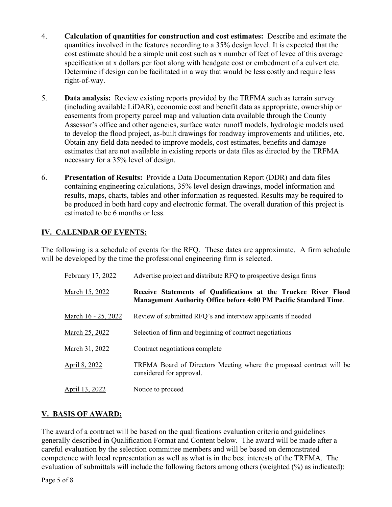- 4. **Calculation of quantities for construction and cost estimates:** Describe and estimate the quantities involved in the features according to a 35% design level. It is expected that the cost estimate should be a simple unit cost such as x number of feet of levee of this average specification at x dollars per foot along with headgate cost or embedment of a culvert etc. Determine if design can be facilitated in a way that would be less costly and require less right-of-way.
- 5. **Data analysis:** Review existing reports provided by the TRFMA such as terrain survey (including available LiDAR), economic cost and benefit data as appropriate, ownership or easements from property parcel map and valuation data available through the County Assessor's office and other agencies, surface water runoff models, hydrologic models used to develop the flood project, as-built drawings for roadway improvements and utilities, etc. Obtain any field data needed to improve models, cost estimates, benefits and damage estimates that are not available in existing reports or data files as directed by the TRFMA necessary for a 35% level of design.
- 6. **Presentation of Results:** Provide a Data Documentation Report (DDR) and data files containing engineering calculations, 35% level design drawings, model information and results, maps, charts, tables and other information as requested. Results may be required to be produced in both hard copy and electronic format. The overall duration of this project is estimated to be 6 months or less.

#### **IV. CALENDAR OF EVENTS:**

The following is a schedule of events for the RFQ. These dates are approximate. A firm schedule will be developed by the time the professional engineering firm is selected.

| February 17, 2022   | Advertise project and distribute RFQ to prospective design firms                                                                     |
|---------------------|--------------------------------------------------------------------------------------------------------------------------------------|
| March 15, 2022      | Receive Statements of Qualifications at the Truckee River Flood<br>Management Authority Office before 4:00 PM Pacific Standard Time. |
| March 16 - 25, 2022 | Review of submitted RFQ's and interview applicants if needed                                                                         |
| March 25, 2022      | Selection of firm and beginning of contract negotiations                                                                             |
| March 31, 2022      | Contract negotiations complete                                                                                                       |
| April 8, 2022       | TRFMA Board of Directors Meeting where the proposed contract will be<br>considered for approval.                                     |
| April 13, 2022      | Notice to proceed                                                                                                                    |

#### **V. BASIS OF AWARD:**

The award of a contract will be based on the qualifications evaluation criteria and guidelines generally described in Qualification Format and Content below. The award will be made after a careful evaluation by the selection committee members and will be based on demonstrated competence with local representation as well as what is in the best interests of the TRFMA. The evaluation of submittals will include the following factors among others (weighted (%) as indicated):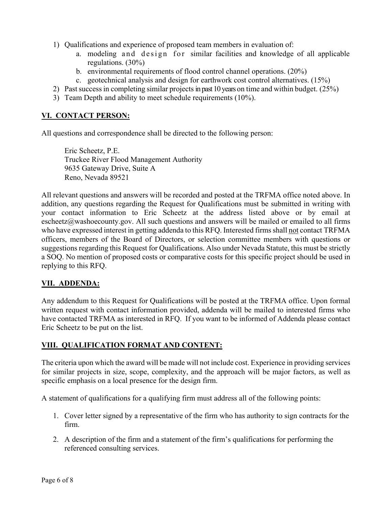- 1) Qualifications and experience of proposed team members in evaluation of:
	- a. modeling and design for similar facilities and knowledge of all applicable regulations. (30%)
	- b. environmental requirements of flood control channel operations. (20%)
	- c. geotechnical analysis and design for earthwork cost control alternatives. (15%)
- 2) Past success in completing similar projects in past 10 years on time and within budget. (25%)
- 3) Team Depth and ability to meet schedule requirements (10%).

#### **VI. CONTACT PERSON:**

All questions and correspondence shall be directed to the following person:

 Eric Scheetz, P.E. Truckee River Flood Management Authority 9635 Gateway Drive, Suite A Reno, Nevada 89521

All relevant questions and answers will be recorded and posted at the TRFMA office noted above. In addition, any questions regarding the Request for Qualifications must be submitted in writing with your contact information to Eric Scheetz at the address listed above or by email at escheetz@washoecounty.gov. All such questions and answers will be mailed or emailed to all firms who have expressed interest in getting addenda to this RFQ. Interested firms shall not contact TRFMA officers, members of the Board of Directors, or selection committee members with questions or suggestions regarding this Request for Qualifications. Also under Nevada Statute, this must be strictly a SOQ. No mention of proposed costs or comparative costs for this specific project should be used in replying to this RFQ.

#### **VII. ADDENDA:**

Any addendum to this Request for Qualifications will be posted at the TRFMA office. Upon formal written request with contact information provided, addenda will be mailed to interested firms who have contacted TRFMA as interested in RFQ. If you want to be informed of Addenda please contact Eric Scheetz to be put on the list.

#### **VIII. QUALIFICATION FORMAT AND CONTENT:**

The criteria upon which the award will be made will not include cost. Experience in providing services for similar projects in size, scope, complexity, and the approach will be major factors, as well as specific emphasis on a local presence for the design firm.

A statement of qualifications for a qualifying firm must address all of the following points:

- 1. Cover letter signed by a representative of the firm who has authority to sign contracts for the firm.
- 2. A description of the firm and a statement of the firm's qualifications for performing the referenced consulting services.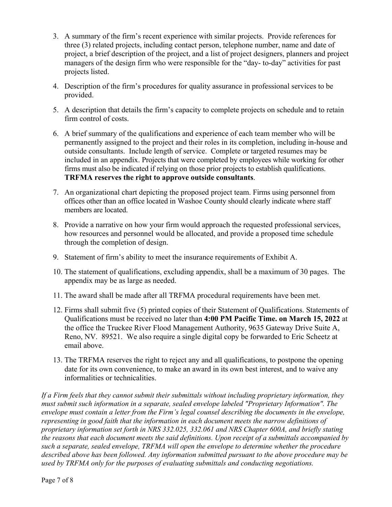- 3. A summary of the firm's recent experience with similar projects. Provide references for three (3) related projects, including contact person, telephone number, name and date of project, a brief description of the project, and a list of project designers, planners and project managers of the design firm who were responsible for the "day- to-day" activities for past projects listed.
- 4. Description of the firm's procedures for quality assurance in professional services to be provided.
- 5. A description that details the firm's capacity to complete projects on schedule and to retain firm control of costs.
- 6. A brief summary of the qualifications and experience of each team member who will be permanently assigned to the project and their roles in its completion, including in-house and outside consultants. Include length of service. Complete or targeted resumes may be included in an appendix. Projects that were completed by employees while working for other firms must also be indicated if relying on those prior projects to establish qualifications. **TRFMA reserves the right to approve outside consultants**.
- 7. An organizational chart depicting the proposed project team. Firms using personnel from offices other than an office located in Washoe County should clearly indicate where staff members are located.
- 8. Provide a narrative on how your firm would approach the requested professional services, how resources and personnel would be allocated, and provide a proposed time schedule through the completion of design.
- 9. Statement of firm's ability to meet the insurance requirements of Exhibit A.
- 10. The statement of qualifications, excluding appendix, shall be a maximum of 30 pages. The appendix may be as large as needed.
- 11. The award shall be made after all TRFMA procedural requirements have been met.
- 12. Firms shall submit five (5) printed copies of their Statement of Qualifications. Statements of Qualifications must be received no later than **4:00 PM Pacific Time. on March 15, 2022** at the office the Truckee River Flood Management Authority, 9635 Gateway Drive Suite A, Reno, NV. 89521. We also require a single digital copy be forwarded to Eric Scheetz at email above.
- 13. The TRFMA reserves the right to reject any and all qualifications, to postpone the opening date for its own convenience, to make an award in its own best interest, and to waive any informalities or technicalities.

*If a Firm feels that they cannot submit their submittals without including proprietary information, they must submit such information in a separate, sealed envelope labeled "Proprietary Information". The envelope must contain a letter from the Firm's legal counsel describing the documents in the envelope, representing in good faith that the information in each document meets the narrow definitions of proprietary information set forth in NRS 332.025, 332.061 and NRS Chapter 600A, and briefly stating the reasons that each document meets the said definitions. Upon receipt of a submittals accompanied by such a separate, sealed envelope, TRFMA will open the envelope to determine whether the procedure described above has been followed. Any information submitted pursuant to the above procedure may be used by TRFMA only for the purposes of evaluating submittals and conducting negotiations.*